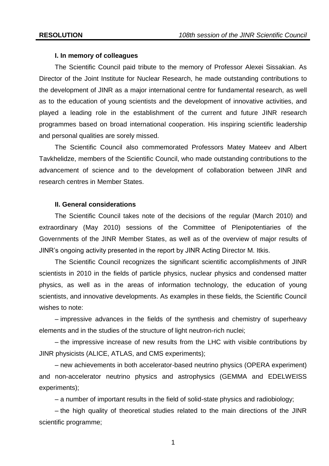## **I. In memory of colleagues**

The Scientific Council paid tribute to the memory of Professor Alexei Sissakian. As Director of the Joint Institute for Nuclear Research, he made outstanding contributions to the development of JINR as a major international centre for fundamental research, as well as to the education of young scientists and the development of innovative activities, and played a leading role in the establishment of the current and future JINR research programmes based on broad international cooperation. His inspiring scientific leadership and personal qualities are sorely missed.

The Scientific Council also commemorated Professors Matey Mateev and Albert Tavkhelidze, members of the Scientific Council, who made outstanding contributions to the advancement of science and to the development of collaboration between JINR and research centres in Member States.

# **II. General considerations**

The Scientific Council takes note of the decisions of the regular (March 2010) and extraordinary (May 2010) sessions of the Committee of Plenipotentiaries of the Governments of the JINR Member States, as well as of the overview of major results of JINR's ongoing activity presented in the report by JINR Acting Director M. Itkis.

The Scientific Council recognizes the significant scientific accomplishments of JINR scientists in 2010 in the fields of particle physics, nuclear physics and condensed matter physics, as well as in the areas of information technology, the education of young scientists, and innovative developments. As examples in these fields, the Scientific Council wishes to note:

– impressive advances in the fields of the synthesis and chemistry of superheavy elements and in the studies of the structure of light neutron-rich nuclei;

– the impressive increase of new results from the LHC with visible contributions by JINR physicists (ALICE, ATLAS, and CMS experiments);

– new achievements in both accelerator-based neutrino physics (OPERA experiment) and non-accelerator neutrino physics and astrophysics (GEMMA and EDELWEISS experiments);

– a number of important results in the field of solid-state physics and radiobiology;

– the high quality of theoretical studies related to the main directions of the JINR scientific programme;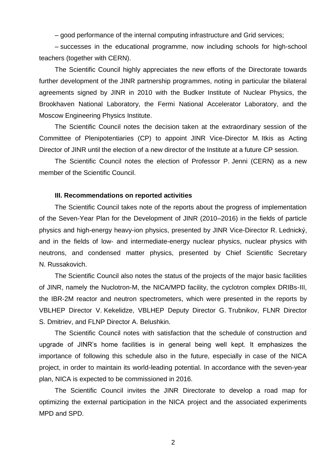– good performance of the internal computing infrastructure and Grid services;

– successes in the educational programme, now including schools for high-school teachers (together with CERN).

The Scientific Council highly appreciates the new efforts of the Directorate towards further development of the JINR partnership programmes, noting in particular the bilateral agreements signed by JINR in 2010 with the Budker Institute of Nuclear Physics, the Brookhaven National Laboratory, the Fermi National Accelerator Laboratory, and the Moscow Engineering Physics Institute.

The Scientific Council notes the decision taken at the extraordinary session of the Committee of Plenipotentiaries (CP) to appoint JINR Vice-Director M. Itkis as Acting Director of JINR until the election of a new director of the Institute at a future CP session.

The Scientific Council notes the election of Professor P. Jenni (CERN) as a new member of the Scientific Council.

## **III. Recommendations on reported activities**

The Scientific Council takes note of the reports about the progress of implementation of the Seven-Year Plan for the Development of JINR (2010–2016) in the fields of particle physics and high-energy heavy-ion physics, presented by JINR Vice-Director R. Lednický, and in the fields of low- and intermediate-energy nuclear physics, nuclear physics with neutrons, and condensed matter physics, presented by Chief Scientific Secretary N. Russakovich.

The Scientific Council also notes the status of the projects of the major basic facilities of JINR, namely the Nuclotron-M, the NICA/MPD facility, the cyclotron complex DRIBs-III, the IBR-2M reactor and neutron spectrometers, which were presented in the reports by VBLHEP Director V. Kekelidze, VBLHEP Deputy Director G. Trubnikov, FLNR Director S. Dmitriev, and FLNP Director A. Belushkin.

The Scientific Council notes with satisfaction that the schedule of construction and upgrade of JINR's home facilities is in general being well kept. It emphasizes the importance of following this schedule also in the future, especially in case of the NICA project, in order to maintain its world-leading potential. In accordance with the seven-year plan, NICA is expected to be commissioned in 2016.

The Scientific Council invites the JINR Directorate to develop a road map for optimizing the external participation in the NICA project and the associated experiments MPD and SPD.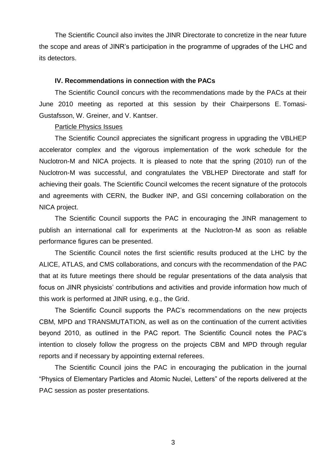The Scientific Council also invites the JINR Directorate to concretize in the near future the scope and areas of JINR's participation in the programme of upgrades of the LHC and its detectors.

#### **IV. Recommendations in connection with the PACs**

The Scientific Council concurs with the recommendations made by the PACs at their June 2010 meeting as reported at this session by their Chairpersons E. Tomasi-Gustafsson, W. Greiner, and V. Kantser.

## Particle Physics Issues

The Scientific Council appreciates the significant progress in upgrading the VBLHEP accelerator complex and the vigorous implementation of the work schedule for the Nuclotron-M and NICA projects. It is pleased to note that the spring (2010) run of the Nuclotron-M was successful, and congratulates the VBLHEP Directorate and staff for achieving their goals. The Scientific Council welcomes the recent signature of the protocols and agreements with CERN, the Budker INP, and GSI concerning collaboration on the NICA project.

The Scientific Council supports the PAC in encouraging the JINR management to publish an international call for experiments at the Nuclotron-M as soon as reliable performance figures can be presented.

The Scientific Council notes the first scientific results produced at the LHC by the ALICE, ATLAS, and CMS collaborations, and concurs with the recommendation of the PAC that at its future meetings there should be regular presentations of the data analysis that focus on JINR physicists' contributions and activities and provide information how much of this work is performed at JINR using, e.g., the Grid.

The Scientific Council supports the PAC's recommendations on the new projects CBM, MPD and TRANSMUTATION, as well as on the continuation of the current activities beyond 2010, as outlined in the PAC report. The Scientific Council notes the PAC's intention to closely follow the progress on the projects CBM and MPD through regular reports and if necessary by appointing external referees.

The Scientific Council joins the PAC in encouraging the publication in the journal "Physics of Elementary Particles and Atomic Nuclei, Letters" of the reports delivered at the PAC session as poster presentations.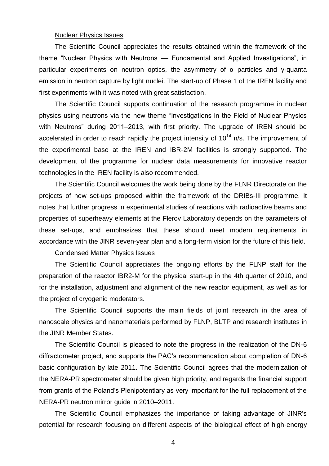## Nuclear Physics Issues

The Scientific Council appreciates the results obtained within the framework of the theme "Nuclear Physics with Neutrons — Fundamental and Applied Investigations", in particular experiments on neutron optics, the asymmetry of α particles and γ-quanta emission in neutron capture by light nuclei. The start-up of Phase 1 of the IREN facility and first experiments with it was noted with great satisfaction.

The Scientific Council supports continuation of the research programme in nuclear physics using neutrons via the new theme "Investigations in the Field of Nuclear Physics with Neutrons" during 2011–2013, with first priority. The upgrade of IREN should be accelerated in order to reach rapidly the project intensity of  $10^{14}$  n/s. The improvement of the experimental base at the IREN and IBR-2M facilities is strongly supported. The development of the programme for nuclear data measurements for innovative reactor technologies in the IREN facility is also recommended.

The Scientific Council welcomes the work being done by the FLNR Directorate on the projects of new set-ups proposed within the framework of the DRIBs-III programme. It notes that further progress in experimental studies of reactions with radioactive beams and properties of superheavy elements at the Flerov Laboratory depends on the parameters of these set-ups, and emphasizes that these should meet modern requirements in accordance with the JINR seven-year plan and a long-term vision for the future of this field.

# Condensed Matter Physics Issues

The Scientific Council appreciates the ongoing efforts by the FLNP staff for the preparation of the reactor IBR2-M for the physical start-up in the 4th quarter of 2010, and for the installation, adjustment and alignment of the new reactor equipment, as well as for the project of cryogenic moderators.

The Scientific Council supports the main fields of joint research in the area of nanoscale physics and nanomaterials performed by FLNP, BLTP and research institutes in the JINR Member States.

The Scientific Council is pleased to note the progress in the realization of the DN-6 diffractometer project, and supports the PAC's recommendation about completion of DN-6 basic configuration by late 2011. The Scientific Council agrees that the modernization of the NERA-PR spectrometer should be given high priority, and regards the financial support from grants of the Poland's Plenipotentiary as very important for the full replacement of the NERA-PR neutron mirror guide in 2010–2011.

The Scientific Council emphasizes the importance of taking advantage of JINR's potential for research focusing on different aspects of the biological effect of high-energy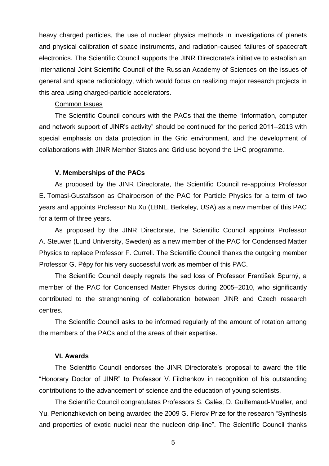heavy charged particles, the use of nuclear physics methods in investigations of planets and physical calibration of space instruments, and radiation-caused failures of spacecraft electronics. The Scientific Council supports the JINR Directorate's initiative to establish an International Joint Scientific Council of the Russian Academy of Sciences on the issues of general and space radiobiology, which would focus on realizing major research projects in this area using charged-particle accelerators.

# Common Issues

The Scientific Council concurs with the PACs that the theme "Information, computer and network support of JINR's activity" should be continued for the period 2011–2013 with special emphasis on data protection in the Grid environment, and the development of collaborations with JINR Member States and Grid use beyond the LHC programme.

# **V. Memberships of the PACs**

As proposed by the JINR Directorate, the Scientific Council re-appoints Professor E. Tomasi-Gustafsson as Chairperson of the PAC for Particle Physics for a term of two years and appoints Professor Nu Xu (LBNL, Berkeley, USA) as a new member of this PAC for a term of three years.

As proposed by the JINR Directorate, the Scientific Council appoints Professor A. Steuwer (Lund University, Sweden) as a new member of the PAC for Condensed Matter Physics to replace Professor F. Currell. The Scientific Council thanks the outgoing member Professor G. Pépy for his very successful work as member of this PAC.

The Scientific Council deeply regrets the sad loss of Professor František Spurný, a member of the PAC for Condensed Matter Physics during 2005–2010, who significantly contributed to the strengthening of collaboration between JINR and Czech research centres.

The Scientific Council asks to be informed regularly of the amount of rotation among the members of the PACs and of the areas of their expertise.

# **VI. Awards**

The Scientific Council endorses the JINR Directorate's proposal to award the title ―Honorary Doctor of JINR‖ to Professor V. Filchenkov in recognition of his outstanding contributions to the advancement of science and the education of young scientists.

The Scientific Council congratulates Professors S. Galès, D. Guillemaud-Mueller, and Yu. Penionzhkevich on being awarded the 2009 G. Flerov Prize for the research "Synthesis" and properties of exotic nuclei near the nucleon drip-line". The Scientific Council thanks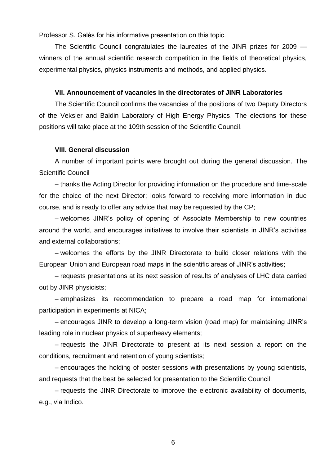Professor S. Galès for his informative presentation on this topic.

The Scientific Council congratulates the laureates of the JINR prizes for 2009 winners of the annual scientific research competition in the fields of theoretical physics, experimental physics, physics instruments and methods, and applied physics.

# **VII. Announcement of vacancies in the directorates of JINR Laboratories**

The Scientific Council confirms the vacancies of the positions of two Deputy Directors of the Veksler and Baldin Laboratory of High Energy Physics. The elections for these positions will take place at the 109th session of the Scientific Council.

## **VIII. General discussion**

A number of important points were brought out during the general discussion. The Scientific Council

– thanks the Acting Director for providing information on the procedure and time-scale for the choice of the next Director; looks forward to receiving more information in due course, and is ready to offer any advice that may be requested by the CP;

– welcomes JINR's policy of opening of Associate Membership to new countries around the world, and encourages initiatives to involve their scientists in JINR's activities and external collaborations;

– welcomes the efforts by the JINR Directorate to build closer relations with the European Union and European road maps in the scientific areas of JINR's activities;

– requests presentations at its next session of results of analyses of LHC data carried out by JINR physicists;

– emphasizes its recommendation to prepare a road map for international participation in experiments at NICA;

– encourages JINR to develop a long-term vision (road map) for maintaining JINR's leading role in nuclear physics of superheavy elements;

– requests the JINR Directorate to present at its next session a report on the conditions, recruitment and retention of young scientists;

– encourages the holding of poster sessions with presentations by young scientists, and requests that the best be selected for presentation to the Scientific Council;

– requests the JINR Directorate to improve the electronic availability of documents, e.g., via Indico.